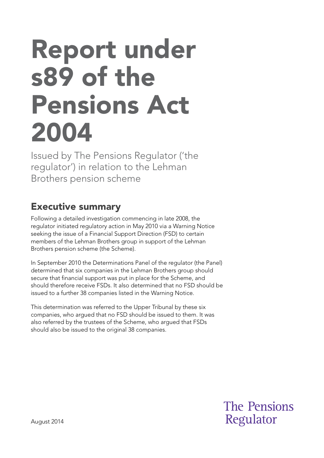# Report under s89 of the Pensions Act 2004

Issued by The Pensions Regulator ('the regulator') in relation to the Lehman Brothers pension scheme

## Executive summary

Following a detailed investigation commencing in late 2008, the regulator initiated regulatory action in May 2010 via a Warning Notice seeking the issue of a Financial Support Direction (FSD) to certain members of the Lehman Brothers group in support of the Lehman Brothers pension scheme (the Scheme).

In September 2010 the Determinations Panel of the regulator (the Panel) determined that six companies in the Lehman Brothers group should secure that financial support was put in place for the Scheme, and should therefore receive FSDs. It also determined that no FSD should be issued to a further 38 companies listed in the Warning Notice.

This determination was referred to the Upper Tribunal by these six companies, who argued that no FSD should be issued to them. It was also referred by the trustees of the Scheme, who argued that FSDs should also be issued to the original 38 companies.

> **The Pensions** Regulator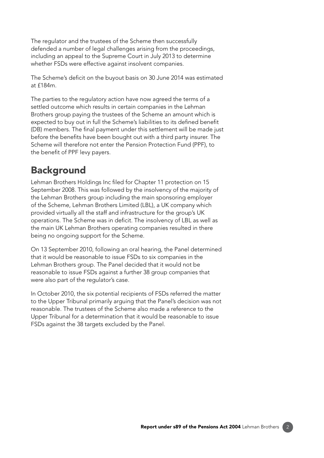The regulator and the trustees of the Scheme then successfully defended a number of legal challenges arising from the proceedings, including an appeal to the Supreme Court in July 2013 to determine whether FSDs were effective against insolvent companies.

The Scheme's deficit on the buyout basis on 30 June 2014 was estimated at £184m.

The parties to the regulatory action have now agreed the terms of a settled outcome which results in certain companies in the Lehman Brothers group paying the trustees of the Scheme an amount which is expected to buy out in full the Scheme's liabilities to its defined benefit (DB) members. The final payment under this settlement will be made just before the benefits have been bought out with a third party insurer. The Scheme will therefore not enter the Pension Protection Fund (PPF), to the benefit of PPF levy payers.

## **Background**

Lehman Brothers Holdings Inc filed for Chapter 11 protection on 15 September 2008. This was followed by the insolvency of the majority of the Lehman Brothers group including the main sponsoring employer of the Scheme, Lehman Brothers Limited (LBL), a UK company which provided virtually all the staff and infrastructure for the group's UK operations. The Scheme was in deficit. The insolvency of LBL as well as the main UK Lehman Brothers operating companies resulted in there being no ongoing support for the Scheme.

On 13 September 2010, following an oral hearing, the Panel determined that it would be reasonable to issue FSDs to six companies in the Lehman Brothers group. The Panel decided that it would not be reasonable to issue FSDs against a further 38 group companies that were also part of the regulator's case.

In October 2010, the six potential recipients of FSDs referred the matter to the Upper Tribunal primarily arguing that the Panel's decision was not reasonable. The trustees of the Scheme also made a reference to the Upper Tribunal for a determination that it would be reasonable to issue FSDs against the 38 targets excluded by the Panel.

2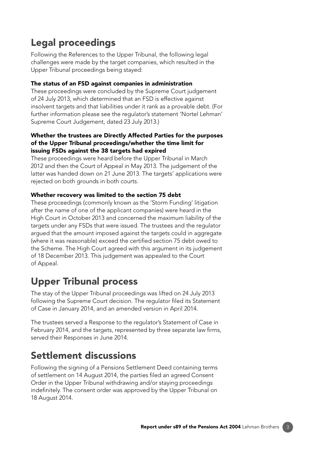# Legal proceedings

Following the References to the Upper Tribunal, the following legal challenges were made by the target companies, which resulted in the Upper Tribunal proceedings being stayed:

#### The status of an FSD against companies in administration

These proceedings were concluded by the Supreme Court judgement of 24 July 2013, which determined that an FSD is effective against insolvent targets and that liabilities under it rank as a provable debt. (For further information please see the regulator's statement 'Nortel Lehman' Supreme Court Judgement, dated 23 July 2013.)

#### Whether the trustees are Directly Affected Parties for the purposes of the Upper Tribunal proceedings/whether the time limit for issuing FSDs against the 38 targets had expired

These proceedings were heard before the Upper Tribunal in March 2012 and then the Court of Appeal in May 2013. The judgement of the latter was handed down on 21 June 2013. The targets' applications were rejected on both grounds in both courts.

#### Whether recovery was limited to the section 75 debt

These proceedings (commonly known as the 'Storm Funding' litigation after the name of one of the applicant companies) were heard in the High Court in October 2013 and concerned the maximum liability of the targets under any FSDs that were issued. The trustees and the regulator argued that the amount imposed against the targets could in aggregate (where it was reasonable) exceed the certified section 75 debt owed to the Scheme. The High Court agreed with this argument in its judgement of 18 December 2013. This judgement was appealed to the Court of Appeal.

## Upper Tribunal process

The stay of the Upper Tribunal proceedings was lifted on 24 July 2013 following the Supreme Court decision. The regulator filed its Statement of Case in January 2014, and an amended version in April 2014.

The trustees served a Response to the regulator's Statement of Case in February 2014, and the targets, represented by three separate law firms, served their Responses in June 2014.

## Settlement discussions

Following the signing of a Pensions Settlement Deed containing terms of settlement on 14 August 2014, the parties filed an agreed Consent Order in the Upper Tribunal withdrawing and/or staying proceedings indefinitely. The consent order was approved by the Upper Tribunal on 18 August 2014.